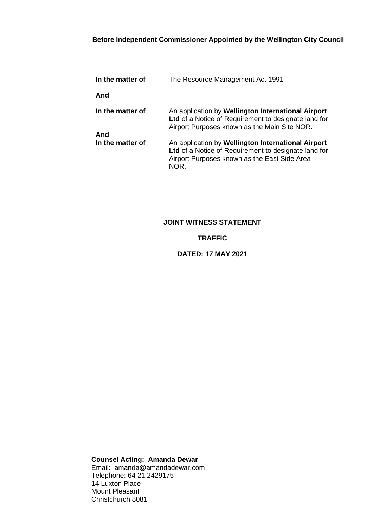| In the matter of        | The Resource Management Act 1991                                                                                                                                   |
|-------------------------|--------------------------------------------------------------------------------------------------------------------------------------------------------------------|
| And                     |                                                                                                                                                                    |
| In the matter of        | An application by Wellington International Airport<br>Ltd of a Notice of Requirement to designate land for<br>Airport Purposes known as the Main Site NOR.         |
| And<br>In the matter of | An application by Wellington International Airport<br>Ltd of a Notice of Requirement to designate land for<br>Airport Purposes known as the East Side Area<br>NOR. |

### **JOINT WITNESS STATEMENT**

#### **TRAFFIC**

**DATED: 17 MAY 2021**

**Counsel Acting: Amanda Dewar** Email: amanda@amandadewar.com Telephone: 64 21 2429175 14 Luxton Place Mount Pleasant Christchurch 8081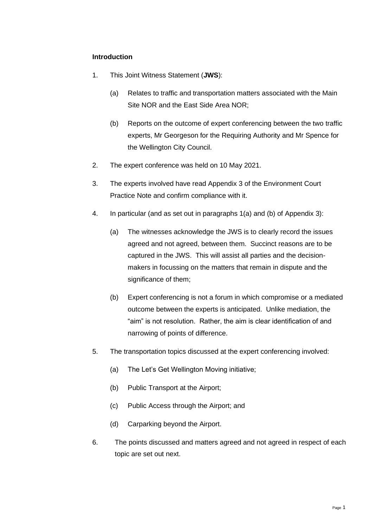## **Introduction**

- 1. This Joint Witness Statement (**JWS**):
	- (a) Relates to traffic and transportation matters associated with the Main Site NOR and the East Side Area NOR;
	- (b) Reports on the outcome of expert conferencing between the two traffic experts, Mr Georgeson for the Requiring Authority and Mr Spence for the Wellington City Council.
- 2. The expert conference was held on 10 May 2021.
- 3. The experts involved have read Appendix 3 of the Environment Court Practice Note and confirm compliance with it.
- 4. In particular (and as set out in paragraphs 1(a) and (b) of Appendix 3):
	- (a) The witnesses acknowledge the JWS is to clearly record the issues agreed and not agreed, between them. Succinct reasons are to be captured in the JWS. This will assist all parties and the decisionmakers in focussing on the matters that remain in dispute and the significance of them;
	- (b) Expert conferencing is not a forum in which compromise or a mediated outcome between the experts is anticipated. Unlike mediation, the "aim" is not resolution. Rather, the aim is clear identification of and narrowing of points of difference.
- 5. The transportation topics discussed at the expert conferencing involved:
	- (a) The Let's Get Wellington Moving initiative;
	- (b) Public Transport at the Airport;
	- (c) Public Access through the Airport; and
	- (d) Carparking beyond the Airport.
- 6. The points discussed and matters agreed and not agreed in respect of each topic are set out next.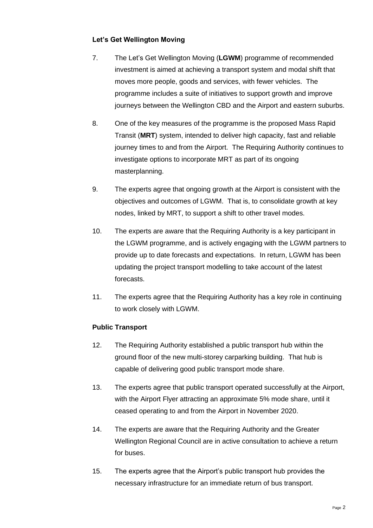# **Let's Get Wellington Moving**

- 7. The Let's Get Wellington Moving (**LGWM**) programme of recommended investment is aimed at achieving a transport system and modal shift that moves more people, goods and services, with fewer vehicles. The programme includes a suite of initiatives to support growth and improve journeys between the Wellington CBD and the Airport and eastern suburbs.
- 8. One of the key measures of the programme is the proposed Mass Rapid Transit (**MRT**) system, intended to deliver high capacity, fast and reliable journey times to and from the Airport. The Requiring Authority continues to investigate options to incorporate MRT as part of its ongoing masterplanning.
- 9. The experts agree that ongoing growth at the Airport is consistent with the objectives and outcomes of LGWM. That is, to consolidate growth at key nodes, linked by MRT, to support a shift to other travel modes.
- 10. The experts are aware that the Requiring Authority is a key participant in the LGWM programme, and is actively engaging with the LGWM partners to provide up to date forecasts and expectations. In return, LGWM has been updating the project transport modelling to take account of the latest forecasts.
- 11. The experts agree that the Requiring Authority has a key role in continuing to work closely with LGWM.

## **Public Transport**

- 12. The Requiring Authority established a public transport hub within the ground floor of the new multi-storey carparking building. That hub is capable of delivering good public transport mode share.
- 13. The experts agree that public transport operated successfully at the Airport, with the Airport Flyer attracting an approximate 5% mode share, until it ceased operating to and from the Airport in November 2020.
- 14. The experts are aware that the Requiring Authority and the Greater Wellington Regional Council are in active consultation to achieve a return for buses.
- 15. The experts agree that the Airport's public transport hub provides the necessary infrastructure for an immediate return of bus transport.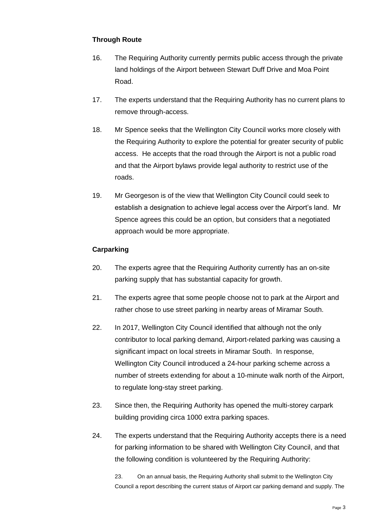# **Through Route**

- 16. The Requiring Authority currently permits public access through the private land holdings of the Airport between Stewart Duff Drive and Moa Point Road.
- 17. The experts understand that the Requiring Authority has no current plans to remove through-access.
- 18. Mr Spence seeks that the Wellington City Council works more closely with the Requiring Authority to explore the potential for greater security of public access. He accepts that the road through the Airport is not a public road and that the Airport bylaws provide legal authority to restrict use of the roads.
- 19. Mr Georgeson is of the view that Wellington City Council could seek to establish a designation to achieve legal access over the Airport's land. Mr Spence agrees this could be an option, but considers that a negotiated approach would be more appropriate.

## **Carparking**

- 20. The experts agree that the Requiring Authority currently has an on-site parking supply that has substantial capacity for growth.
- 21. The experts agree that some people choose not to park at the Airport and rather chose to use street parking in nearby areas of Miramar South.
- 22. In 2017, Wellington City Council identified that although not the only contributor to local parking demand, Airport-related parking was causing a significant impact on local streets in Miramar South. In response, Wellington City Council introduced a 24-hour parking scheme across a number of streets extending for about a 10-minute walk north of the Airport, to regulate long-stay street parking.
- 23. Since then, the Requiring Authority has opened the multi-storey carpark building providing circa 1000 extra parking spaces.
- 24. The experts understand that the Requiring Authority accepts there is a need for parking information to be shared with Wellington City Council, and that the following condition is volunteered by the Requiring Authority:

23. On an annual basis, the Requiring Authority shall submit to the Wellington City Council a report describing the current status of Airport car parking demand and supply. The